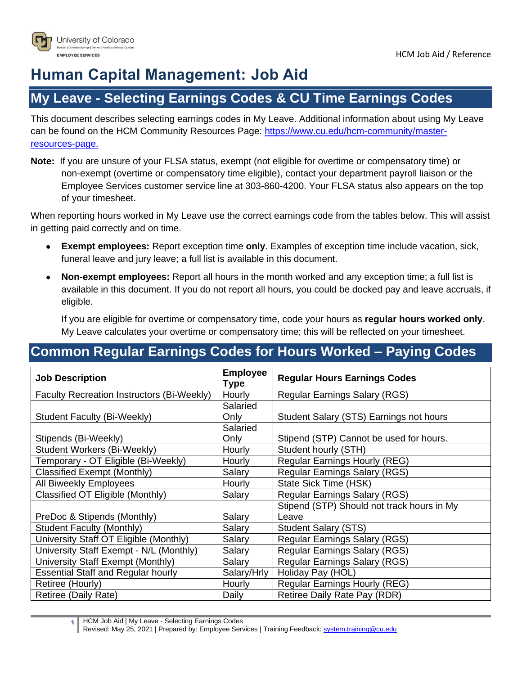

# **Human Capital Management: Job Aid**

### **My Leave - Selecting Earnings Codes & CU Time Earnings Codes**

This document describes selecting earnings codes in My Leave. Additional information about using My Leave can be found on the HCM Community Resources Page: [https://www.cu.edu/hcm-community/master](https://www.cu.edu/hcm-community/master-resources-page)[resources-page.](https://www.cu.edu/hcm-community/master-resources-page)

**Note:** If you are unsure of your FLSA status, exempt (not eligible for overtime or compensatory time) or non-exempt (overtime or compensatory time eligible), contact your department payroll liaison or the Employee Services customer service line at 303-860-4200. Your FLSA status also appears on the top of your timesheet.

When reporting hours worked in My Leave use the correct earnings code from the tables below. This will assist in getting paid correctly and on time.

- **Exempt employees:** Report exception time **only**. Examples of exception time include vacation, sick, funeral leave and jury leave; a full list is available in this document.
- **Non-exempt employees:** Report all hours in the month worked and any exception time; a full list is available in this document. If you do not report all hours, you could be docked pay and leave accruals, if eligible.

If you are eligible for overtime or compensatory time, code your hours as **regular hours worked only**. My Leave calculates your overtime or compensatory time; this will be reflected on your timesheet.

#### **Common Regular Earnings Codes for Hours Worked – Paying Codes**

| <b>Job Description</b>                     | <b>Employee</b><br><b>Type</b> | <b>Regular Hours Earnings Codes</b>        |  |
|--------------------------------------------|--------------------------------|--------------------------------------------|--|
| Faculty Recreation Instructors (Bi-Weekly) | Hourly                         | Regular Earnings Salary (RGS)              |  |
|                                            | Salaried                       |                                            |  |
| Student Faculty (Bi-Weekly)                | Only                           | Student Salary (STS) Earnings not hours    |  |
|                                            | Salaried                       |                                            |  |
| Stipends (Bi-Weekly)                       | Only                           | Stipend (STP) Cannot be used for hours.    |  |
| Student Workers (Bi-Weekly)                | Hourly                         | Student hourly (STH)                       |  |
| Temporary - OT Eligible (Bi-Weekly)        | Hourly                         | Regular Earnings Hourly (REG)              |  |
| Classified Exempt (Monthly)                | Salary                         | <b>Regular Earnings Salary (RGS)</b>       |  |
| All Biweekly Employees                     | Hourly                         | State Sick Time (HSK)                      |  |
| Classified OT Eligible (Monthly)           | Salary                         | <b>Regular Earnings Salary (RGS)</b>       |  |
|                                            |                                | Stipend (STP) Should not track hours in My |  |
| PreDoc & Stipends (Monthly)                | Salary                         | Leave                                      |  |
| <b>Student Faculty (Monthly)</b>           | Salary                         | <b>Student Salary (STS)</b>                |  |
| University Staff OT Eligible (Monthly)     | Salary                         | Regular Earnings Salary (RGS)              |  |
| University Staff Exempt - N/L (Monthly)    | Salary                         | <b>Regular Earnings Salary (RGS)</b>       |  |
| University Staff Exempt (Monthly)          | Salary                         | <b>Regular Earnings Salary (RGS)</b>       |  |
| <b>Essential Staff and Regular hourly</b>  | Salary/Hrly                    | Holiday Pay (HOL)                          |  |
| Retiree (Hourly)                           | Hourly                         | <b>Regular Earnings Hourly (REG)</b>       |  |
| Retiree (Daily Rate)                       | Daily                          | Retiree Daily Rate Pay (RDR)               |  |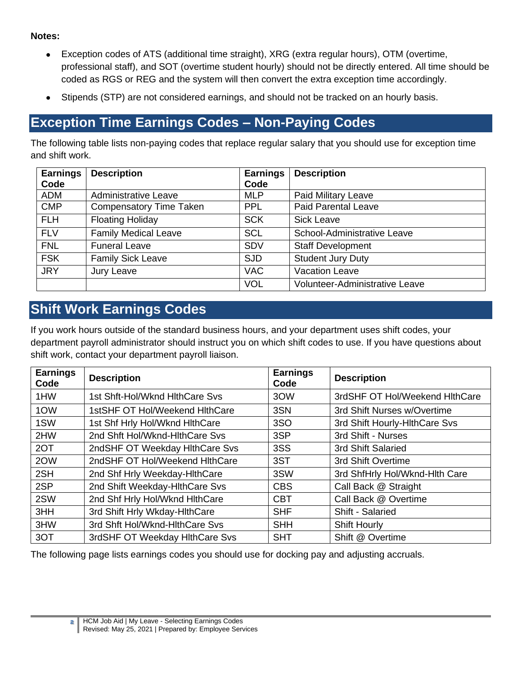**Notes:** 

- Exception codes of ATS (additional time straight), XRG (extra regular hours), OTM (overtime, professional staff), and SOT (overtime student hourly) should not be directly entered. All time should be coded as RGS or REG and the system will then convert the extra exception time accordingly.
- Stipends (STP) are not considered earnings, and should not be tracked on an hourly basis.

## **Exception Time Earnings Codes – Non-Paying Codes**

The following table lists non-paying codes that replace regular salary that you should use for exception time and shift work.

| <b>Earnings</b> | <b>Description</b>             | <b>Earnings</b> | <b>Description</b>             |
|-----------------|--------------------------------|-----------------|--------------------------------|
| Code            |                                | Code            |                                |
| <b>ADM</b>      | <b>Administrative Leave</b>    | <b>MLP</b>      | Paid Military Leave            |
| <b>CMP</b>      | <b>Compensatory Time Taken</b> | <b>PPL</b>      | <b>Paid Parental Leave</b>     |
| <b>FLH</b>      | <b>Floating Holiday</b>        | <b>SCK</b>      | <b>Sick Leave</b>              |
| <b>FLV</b>      | <b>Family Medical Leave</b>    | <b>SCL</b>      | School-Administrative Leave    |
| <b>FNL</b>      | <b>Funeral Leave</b>           | <b>SDV</b>      | <b>Staff Development</b>       |
| <b>FSK</b>      | <b>Family Sick Leave</b>       | <b>SJD</b>      | <b>Student Jury Duty</b>       |
| <b>JRY</b>      | Jury Leave                     | <b>VAC</b>      | <b>Vacation Leave</b>          |
|                 |                                | <b>VOL</b>      | Volunteer-Administrative Leave |

## **Shift Work Earnings Codes**

If you work hours outside of the standard business hours, and your department uses shift codes, your department payroll administrator should instruct you on which shift codes to use. If you have questions about shift work, contact your department payroll liaison.

| <b>Earnings</b><br>Code | <b>Description</b>             | <b>Earnings</b><br>Code | <b>Description</b>             |
|-------------------------|--------------------------------|-------------------------|--------------------------------|
| 1HW                     | 1st Shft-Hol/Wknd HithCare Svs | 3OW                     | 3rdSHF OT Hol/Weekend HithCare |
| 1OW                     | 1stSHF OT Hol/Weekend HithCare | 3SN                     | 3rd Shift Nurses w/Overtime    |
| 1SW                     | 1st Shf Hrly Hol/Wknd HithCare | 3SO                     | 3rd Shift Hourly-HithCare Svs  |
| 2HW                     | 2nd Shft Hol/Wknd-HithCare Svs | 3SP                     | 3rd Shift - Nurses             |
| 2OT                     | 2ndSHF OT Weekday HithCare Svs | 3SS                     | 3rd Shift Salaried             |
| 2OW                     | 2ndSHF OT Hol/Weekend HithCare | 3ST                     | 3rd Shift Overtime             |
| 2SH                     | 2nd Shf Hrly Weekday-HithCare  | 3SW                     | 3rd ShfHrly Hol/Wknd-Hlth Care |
| 2SP                     | 2nd Shift Weekday-HithCare Svs | <b>CBS</b>              | Call Back @ Straight           |
| 2SW                     | 2nd Shf Hrly Hol/Wknd HlthCare | <b>CBT</b>              | Call Back @ Overtime           |
| 3HH                     | 3rd Shift Hrly Wkday-HlthCare  | <b>SHF</b>              | Shift - Salaried               |
| 3HW                     | 3rd Shft Hol/Wknd-HlthCare Svs | <b>SHH</b>              | <b>Shift Hourly</b>            |
| 3OT                     | 3rdSHF OT Weekday HithCare Svs | <b>SHT</b>              | Shift @ Overtime               |

The following page lists earnings codes you should use for docking pay and adjusting accruals.